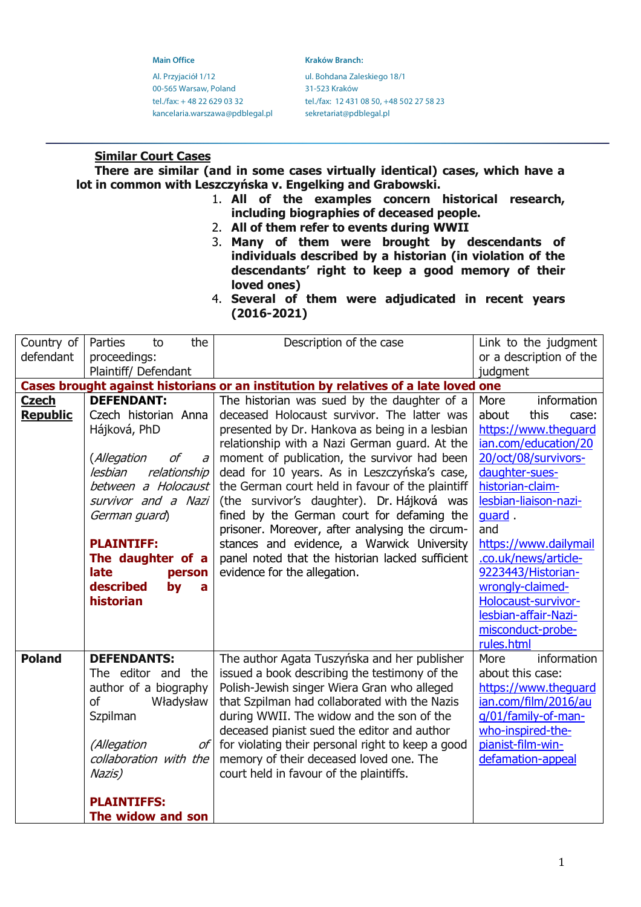Al. Przyjaciół 1/12 ul. Bohdana Zaleskiego 18/1 00-565 Warsaw, Poland 31-523 Kraków kancelaria.warszawa@pdblegal.pl sekretariat@pdblegal.pl

**Main Office Kraków Branch: Kraków Branch:** 

tel./fax: + 48 22 629 03 32 tel./fax: 12 431 08 50, +48 502 27 58 23

# **Similar Court Cases**

**There are similar (and in some cases virtually identical) cases, which have a lot in common with Leszczyńska v. Engelking and Grabowski.**

- 1. **All of the examples concern historical research, including biographies of deceased people.**
- 2. **All of them refer to events during WWII**
- 3. **Many of them were brought by descendants of individuals described by a historian (in violation of the descendants' right to keep a good memory of their loved ones)**
- 4. **Several of them were adjudicated in recent years (2016-2021)**

| Country of      | Parties<br>the<br>to    | Description of the case                                                             | Link to the judgment    |
|-----------------|-------------------------|-------------------------------------------------------------------------------------|-------------------------|
| defendant       |                         |                                                                                     |                         |
|                 | proceedings:            |                                                                                     | or a description of the |
|                 | Plaintiff/ Defendant    |                                                                                     | judgment                |
|                 |                         | Cases brought against historians or an institution by relatives of a late loved one |                         |
| <b>Czech</b>    | <b>DEFENDANT:</b>       | The historian was sued by the daughter of a                                         | More<br>information     |
| <b>Republic</b> | Czech historian Anna    | deceased Holocaust survivor. The latter was                                         | about<br>this<br>case:  |
|                 | Hájková, PhD            | presented by Dr. Hankova as being in a lesbian                                      | https://www.theguard    |
|                 |                         | relationship with a Nazi German guard. At the                                       | ian.com/education/20    |
|                 | (Allegation<br>оf<br>a  | moment of publication, the survivor had been                                        | 20/oct/08/survivors-    |
|                 | relationship<br>lesbian | dead for 10 years. As in Leszczyńska's case,                                        | daughter-sues-          |
|                 | between a Holocaust     | the German court held in favour of the plaintiff                                    | historian-claim-        |
|                 | survivor and a Nazi     | (the survivor's daughter). Dr. Hájková was                                          | lesbian-liaison-nazi-   |
|                 | German guard)           | fined by the German court for defaming the                                          | guard.                  |
|                 |                         | prisoner. Moreover, after analysing the circum-                                     | and                     |
|                 | <b>PLAINTIFF:</b>       | stances and evidence, a Warwick University                                          | https://www.dailymail   |
|                 | The daughter of a       | panel noted that the historian lacked sufficient                                    | .co.uk/news/article-    |
|                 | late<br>person          | evidence for the allegation.                                                        | 9223443/Historian-      |
|                 | described<br>by<br>a    |                                                                                     | wrongly-claimed-        |
|                 | historian               |                                                                                     | Holocaust-survivor-     |
|                 |                         |                                                                                     | lesbian-affair-Nazi-    |
|                 |                         |                                                                                     | misconduct-probe-       |
|                 |                         |                                                                                     | rules.html              |
| <b>Poland</b>   | <b>DEFENDANTS:</b>      | The author Agata Tuszyńska and her publisher                                        | information<br>More     |
|                 | The editor and<br>the   | issued a book describing the testimony of the                                       | about this case:        |
|                 | author of a biography   | Polish-Jewish singer Wiera Gran who alleged                                         | https://www.thequard    |
|                 | of<br>Władysław         | that Szpilman had collaborated with the Nazis                                       | ian.com/film/2016/au    |
|                 | Szpilman                | during WWII. The widow and the son of the                                           | g/01/family-of-man-     |
|                 |                         | deceased pianist sued the editor and author                                         | who-inspired-the-       |
|                 | (Allegation<br>οf       | for violating their personal right to keep a good                                   | pianist-film-win-       |
|                 | collaboration with the  | memory of their deceased loved one. The                                             | defamation-appeal       |
|                 | Nazis)                  | court held in favour of the plaintiffs.                                             |                         |
|                 |                         |                                                                                     |                         |
|                 | <b>PLAINTIFFS:</b>      |                                                                                     |                         |
|                 |                         |                                                                                     |                         |
|                 | The widow and son       |                                                                                     |                         |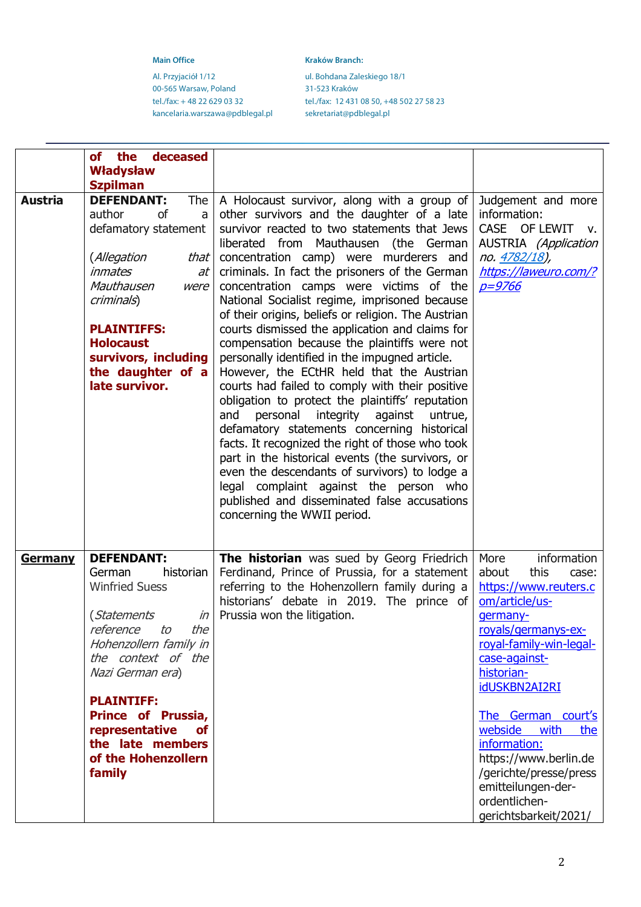Al. Przyjaciół 1/12 ul. Bohdana Zaleskiego 18/1 00-565 Warsaw, Poland 31-523 Kraków<br>tel./fax: +48 22 629 03 32 tel./fax: 12 431 kancelaria.warszawa@pdblegal.pl

**Main Office Kraków Branch: Kraków Branch:** 

tel./fax: 12 431 08 50, +48 502 27 58 23<br>sekretariat@pdblegal.pl

|                | the deceased<br>of                                                                                                                                                                                                                                                                                         |                                                                                                                                                                                                                                                                                                                                                                                                                                                                                                                                                                                                                                                                                                                                                                                                                                                                                                                                                                                                                                                                                                                             |                                                                                                                                                                                                                                                                                                                                                                                           |
|----------------|------------------------------------------------------------------------------------------------------------------------------------------------------------------------------------------------------------------------------------------------------------------------------------------------------------|-----------------------------------------------------------------------------------------------------------------------------------------------------------------------------------------------------------------------------------------------------------------------------------------------------------------------------------------------------------------------------------------------------------------------------------------------------------------------------------------------------------------------------------------------------------------------------------------------------------------------------------------------------------------------------------------------------------------------------------------------------------------------------------------------------------------------------------------------------------------------------------------------------------------------------------------------------------------------------------------------------------------------------------------------------------------------------------------------------------------------------|-------------------------------------------------------------------------------------------------------------------------------------------------------------------------------------------------------------------------------------------------------------------------------------------------------------------------------------------------------------------------------------------|
|                | <b>Władysław</b>                                                                                                                                                                                                                                                                                           |                                                                                                                                                                                                                                                                                                                                                                                                                                                                                                                                                                                                                                                                                                                                                                                                                                                                                                                                                                                                                                                                                                                             |                                                                                                                                                                                                                                                                                                                                                                                           |
| <b>Austria</b> | <b>Szpilman</b><br><b>DEFENDANT:</b><br>The<br>author<br>0f<br>a<br>defamatory statement<br>(Allegation<br>that<br><i>inmates</i><br>at<br>Mauthausen<br>were<br>criminals)<br><b>PLAINTIFFS:</b><br><b>Holocaust</b><br>survivors, including<br>the daughter of a<br>late survivor.                       | A Holocaust survivor, along with a group of<br>other survivors and the daughter of a late<br>survivor reacted to two statements that Jews<br>liberated from Mauthausen (the German<br>concentration camp) were murderers and<br>criminals. In fact the prisoners of the German<br>concentration camps were victims of the<br>National Socialist regime, imprisoned because<br>of their origins, beliefs or religion. The Austrian<br>courts dismissed the application and claims for<br>compensation because the plaintiffs were not<br>personally identified in the impugned article.<br>However, the ECtHR held that the Austrian<br>courts had failed to comply with their positive<br>obligation to protect the plaintiffs' reputation<br>integrity against untrue,<br>and<br>personal<br>defamatory statements concerning historical<br>facts. It recognized the right of those who took<br>part in the historical events (the survivors, or<br>even the descendants of survivors) to lodge a<br>legal complaint against the person who<br>published and disseminated false accusations<br>concerning the WWII period. | Judgement and more<br>information:<br>CASE OF LEWIT<br>V.<br><b>AUSTRIA</b> (Application<br>no. 4782/18),<br>https://laweuro.com/?<br><u>p=9766</u>                                                                                                                                                                                                                                       |
| <b>Germany</b> | <b>DEFENDANT:</b><br>historian<br>German<br><b>Winfried Suess</b><br>(Statements<br>reference to<br>the<br>Hohenzollern family in<br>the context of the<br>Nazi German era)<br><b>PLAINTIFF:</b><br>Prince of Prussia,<br>representative<br><b>of</b><br>the late members<br>of the Hohenzollern<br>family | The historian was sued by Georg Friedrich<br>Ferdinand, Prince of Prussia, for a statement<br>referring to the Hohenzollern family during a<br>historians' debate in 2019. The prince of<br>$in$   Prussia won the litigation.                                                                                                                                                                                                                                                                                                                                                                                                                                                                                                                                                                                                                                                                                                                                                                                                                                                                                              | More<br>information<br>this<br>about<br>case:<br>https://www.reuters.c<br>om/article/us-<br>germany-<br>royals/germanys-ex-<br>royal-family-win-legal-<br>case-against-<br>historian-<br>idUSKBN2AI2RI<br>The German court's<br>webside<br>with<br>the<br>information:<br>https://www.berlin.de<br>/gerichte/presse/press<br>emitteilungen-der-<br>ordentlichen-<br>gerichtsbarkeit/2021/ |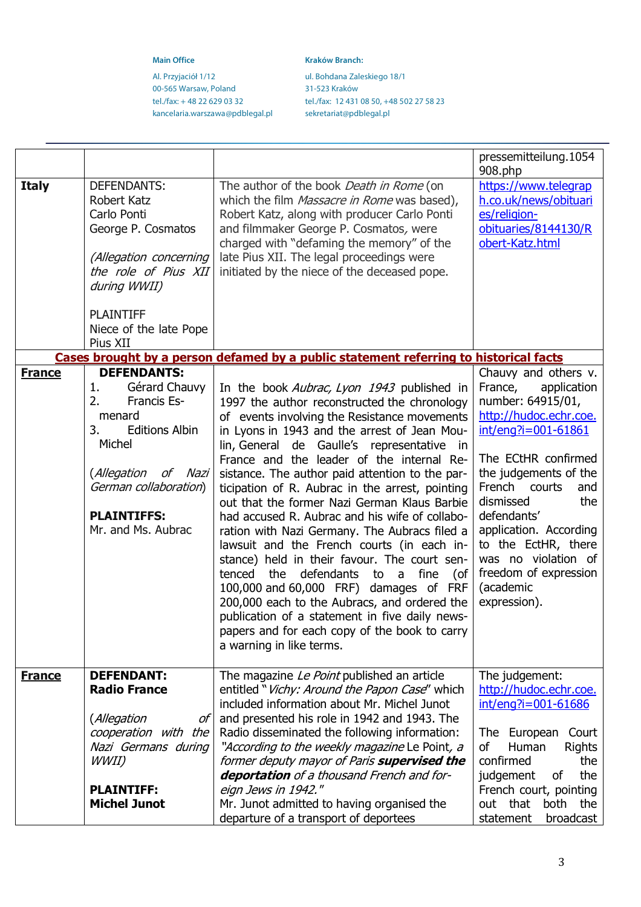Al. Przyjaciół 1/12 ul. Bohdana Zaleskiego 18/1 00-565 Warsaw, Poland 31-523 Kraków<br>tel./fax: +48 22 629 03 32 tel./fax: 12 431 kancelaria.warszawa@pdblegal.pl

**Main Office Kraków Branch: Kraków Branch:** 

tel./fax: 12 431 08 50, +48 502 27 58 23<br>sekretariat@pdblegal.pl

|               |                                                                                                                                                                                                               |                                                                                                                                                                                                                                                                                                                                                                                                                                                                                                                                                                                                                                                                                                                                                                                                                                                                                                                          | pressemitteilung.1054<br>908.php                                                                                                                                                                                                                                                                                                                              |
|---------------|---------------------------------------------------------------------------------------------------------------------------------------------------------------------------------------------------------------|--------------------------------------------------------------------------------------------------------------------------------------------------------------------------------------------------------------------------------------------------------------------------------------------------------------------------------------------------------------------------------------------------------------------------------------------------------------------------------------------------------------------------------------------------------------------------------------------------------------------------------------------------------------------------------------------------------------------------------------------------------------------------------------------------------------------------------------------------------------------------------------------------------------------------|---------------------------------------------------------------------------------------------------------------------------------------------------------------------------------------------------------------------------------------------------------------------------------------------------------------------------------------------------------------|
| <b>Italy</b>  | <b>DEFENDANTS:</b><br>Robert Katz<br>Carlo Ponti<br>George P. Cosmatos<br>(Allegation concerning<br>the role of Pius XII<br>during WWII)<br><b>PLAINTIFF</b><br>Niece of the late Pope                        | The author of the book Death in Rome (on<br>which the film Massacre in Rome was based),<br>Robert Katz, along with producer Carlo Ponti<br>and filmmaker George P. Cosmatos, were<br>charged with "defaming the memory" of the<br>late Pius XII. The legal proceedings were<br>initiated by the niece of the deceased pope.                                                                                                                                                                                                                                                                                                                                                                                                                                                                                                                                                                                              | https://www.telegrap<br>h.co.uk/news/obituari<br>es/religion-<br>obituaries/8144130/R<br>obert-Katz.html                                                                                                                                                                                                                                                      |
|               | Pius XII                                                                                                                                                                                                      | Cases brought by a person defamed by a public statement referring to historical facts                                                                                                                                                                                                                                                                                                                                                                                                                                                                                                                                                                                                                                                                                                                                                                                                                                    |                                                                                                                                                                                                                                                                                                                                                               |
| <b>France</b> | <b>DEFENDANTS:</b><br>Gérard Chauvy<br>1.<br>2.<br>Francis Es-<br>menard<br>3.<br><b>Editions Albin</b><br>Michel<br>(Allegation of Nazi<br>German collaboration)<br><b>PLAINTIFFS:</b><br>Mr. and Ms. Aubrac | In the book Aubrac, Lyon 1943 published in<br>1997 the author reconstructed the chronology<br>of events involving the Resistance movements<br>in Lyons in 1943 and the arrest of Jean Mou-<br>lin, General de Gaulle's representative in<br>France and the leader of the internal Re-<br>sistance. The author paid attention to the par-<br>ticipation of R. Aubrac in the arrest, pointing<br>out that the former Nazi German Klaus Barbie<br>had accused R. Aubrac and his wife of collabo-<br>ration with Nazi Germany. The Aubracs filed a<br>lawsuit and the French courts (in each in-<br>stance) held in their favour. The court sen-<br>the defendants<br>tenced<br>fine<br>to a<br>(of<br>100,000 and 60,000 FRF) damages of FRF<br>200,000 each to the Aubracs, and ordered the<br>publication of a statement in five daily news-<br>papers and for each copy of the book to carry<br>a warning in like terms. | Chauvy and others v.<br>France,<br>application<br>number: 64915/01,<br>http://hudoc.echr.coe.<br>int/eng?i=001-61861<br>The ECtHR confirmed<br>the judgements of the<br>French courts<br>and<br>dismissed<br>the<br>defendants'<br>application. According<br>to the EctHR, there<br>was no violation of<br>freedom of expression<br>(academic<br>expression). |
| <b>France</b> | <b>DEFENDANT:</b><br><b>Radio France</b><br>(Allegation<br>оf<br>cooperation with the<br>Nazi Germans during<br>WWII)<br><b>PLAINTIFF:</b>                                                                    | The magazine Le Point published an article<br>entitled " <i>Vichy: Around the Papon Case</i> " which<br>included information about Mr. Michel Junot<br>and presented his role in 1942 and 1943. The<br>Radio disseminated the following information:<br>"According to the weekly magazine Le Point, a<br>former deputy mayor of Paris supervised the<br>deportation of a thousand French and for-<br>eign Jews in 1942."                                                                                                                                                                                                                                                                                                                                                                                                                                                                                                 | The judgement:<br>http://hudoc.echr.coe.<br>int/eng?i=001-61686<br>The European<br>Court<br>Human<br>0f<br><b>Rights</b><br>confirmed<br>the<br>the<br>judgement<br>οf<br>French court, pointing                                                                                                                                                              |
|               | <b>Michel Junot</b>                                                                                                                                                                                           | Mr. Junot admitted to having organised the<br>departure of a transport of deportees                                                                                                                                                                                                                                                                                                                                                                                                                                                                                                                                                                                                                                                                                                                                                                                                                                      | out that<br>both<br>the<br>broadcast<br>statement                                                                                                                                                                                                                                                                                                             |